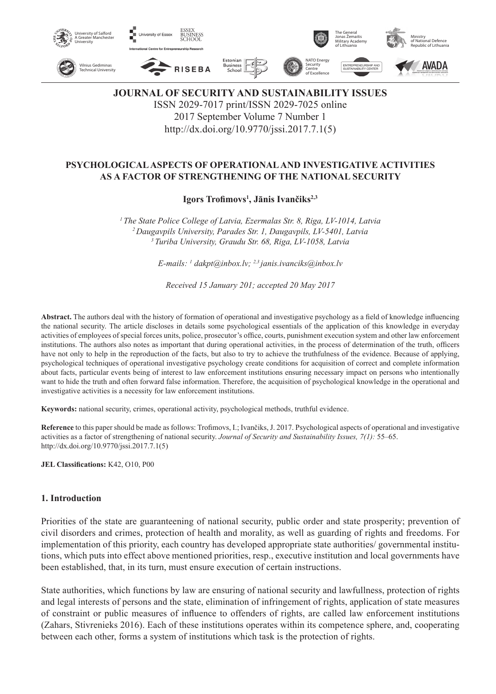

**JOURNAL OF SECURITY AND SUSTAINABILITY ISSUES** ISSN 2029-7017 print/ISSN 2029-7025 online 2017 September Volume 7 Number 1 http://dx.doi.org/10.9770/jssi.2017.7.1(5)

## **PSYCHOLOGICAL ASPECTS OF OPERATIONAL AND INVESTIGATIVE ACTIVITIES AS A FACTOR OF STRENGTHENING OF THE NATIONAL SECURITY**

**Igors Trofimovs<sup>1</sup> , Jānis Ivančiks2,3**

*1 The State Police College of Latvia, Ezermalas Str. 8, Riga, LV-1014, Latvia 2 Daugavpils University, Parades Str. 1, Daugavpils, LV-5401, Latvia 3 Turiba University, Graudu Str. 68, Riga, LV-1058, Latvia*

*E-mails: 1 dakpt@inbox.lv; 2,3 janis.ivanciks@inbox.lv*

*Received 15 January 201; accepted 20 May 2017*

**Abstract.** The authors deal with the history of formation of operational and investigative psychology as a field of knowledge influencing the national security. The article discloses in details some psychological essentials of the application of this knowledge in everyday activities of employees of special forces units, police, prosecutor's office, courts, punishment execution system and other law enforcement institutions. The authors also notes as important that during operational activities, in the process of determination of the truth, officers have not only to help in the reproduction of the facts, but also to try to achieve the truthfulness of the evidence. Because of applying, psychological techniques of operational investigative psychology create conditions for acquisition of correct and complete information about facts, particular events being of interest to law enforcement institutions ensuring necessary impact on persons who intentionally want to hide the truth and often forward false information. Therefore, the acquisition of psychological knowledge in the operational and investigative activities is a necessity for law enforcement institutions.

**Keywords:** national security, crimes, operational activity, psychological methods, truthful evidence.

**Reference** to this paper should be made as follows: Trofimovs, I.; Ivančiks, J. 2017. Psychological aspects of operational and investigative activities as a factor of strengthening of national security. *Journal of Security and Sustainability Issues, 7(1):* 55–65. http://dx.doi.org/10.9770/jssi.2017.7.1(5)

**JEL Classifications:** K42, O10, P00

#### **1. Introduction**

Priorities of the state are guaranteening of national security, public order and state prosperity; prevention of civil disorders and crimes, protection of health and morality, as well as guarding of rights and freedoms. For implementation of this priority, each country has developed appropriate state authorities/ governmental institutions, which puts into effect above mentioned priorities, resp., executive institution and local governments have been established, that, in its turn, must ensure execution of certain instructions.

State authorities, which functions by law are ensuring of national security and lawfullness, protection of rights and legal interests of persons and the state, elimination of infringement of rights, application of state measures of constraint or public measures of influence to offenders of rights, are called law enforcement institutions (Zahars, Stivrenieks 2016). Each of these institutions operates within its competence sphere, and, cooperating between each other, forms a system of institutions which task is the protection of rights.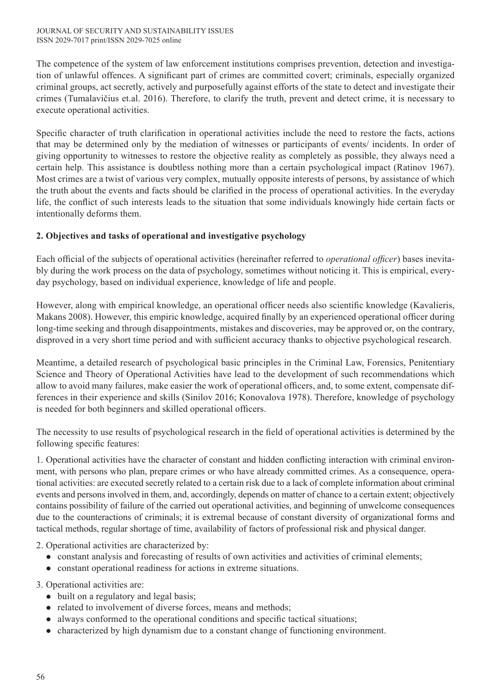The competence of the system of law enforcement institutions comprises prevention, detection and investigation of unlawful offences. A significant part of crimes are committed covert; criminals, especially organized criminal groups, act secretly, actively and purposefully against efforts of the state to detect and investigate their crimes (Tumalavičius et.al. 2016). Therefore, to clarify the truth, prevent and detect crime, it is necessary to execute operational activities.

Specific character of truth clarification in operational activities include the need to restore the facts, actions that may be determined only by the mediation of witnesses or participants of events/ incidents. In order of giving opportunity to witnesses to restore the objective reality as completely as possible, they always need a certain help. This assistance is doubtless nothing more than a certain psychological impact (Ratinov 1967). Most crimes are a twist of various very complex, mutually opposite interests of persons, by assistance of which the truth about the events and facts should be clarified in the process of operational activities. In the everyday life, the conflict of such interests leads to the situation that some individuals knowingly hide certain facts or intentionally deforms them.

# **2. Objectives and tasks of operational and investigative psychology**

Each official of the subjects of operational activities (hereinafter referred to *operational officer*) bases inevitably during the work process on the data of psychology, sometimes without noticing it. This is empirical, everyday psychology, based on individual experience, knowledge of life and people.

However, along with empirical knowledge, an operational officer needs also scientific knowledge (Kavalieris, Makans 2008). However, this empiric knowledge, acquired finally by an experienced operational officer during long-time seeking and through disappointments, mistakes and discoveries, may be approved or, on the contrary, disproved in a very short time period and with sufficient accuracy thanks to objective psychological research.

Meantime, a detailed research of psychological basic principles in the Criminal Law, Forensics, Penitentiary Science and Theory of Operational Activities have lead to the development of such recommendations which allow to avoid many failures, make easier the work of operational officers, and, to some extent, compensate differences in their experience and skills (Sinilov 2016; Konovalova 1978). Therefore, knowledge of psychology is needed for both beginners and skilled operational officers.

The necessity to use results of psychological research in the field of operational activities is determined by the following specific features:

1. Operational activities have the character of constant and hidden conflicting interaction with criminal environment, with persons who plan, prepare crimes or who have already committed crimes. As a consequence, operational activities: are executed secretly related to a certain risk due to a lack of complete information about criminal events and persons involved in them, and, accordingly, depends on matter of chance to a certain extent; objectively contains possibility of failure of the carried out operational activities, and beginning of unwelcome consequences due to the counteractions of criminals; it is extremal because of constant diversity of organizational forms and tactical methods, regular shortage of time, availability of factors of professional risk and physical danger.

2. Operational activities are characterized by:

- constant analysis and forecasting of results of own activities and activities of criminal elements;
- constant operational readiness for actions in extreme situations.

3. Operational activities are:

- $\bullet$  built on a regulatory and legal basis;
- $\bullet$  related to involvement of diverse forces, means and methods;
- $\bullet$  always conformed to the operational conditions and specific tactical situations;
- $\bullet$  characterized by high dynamism due to a constant change of functioning environment.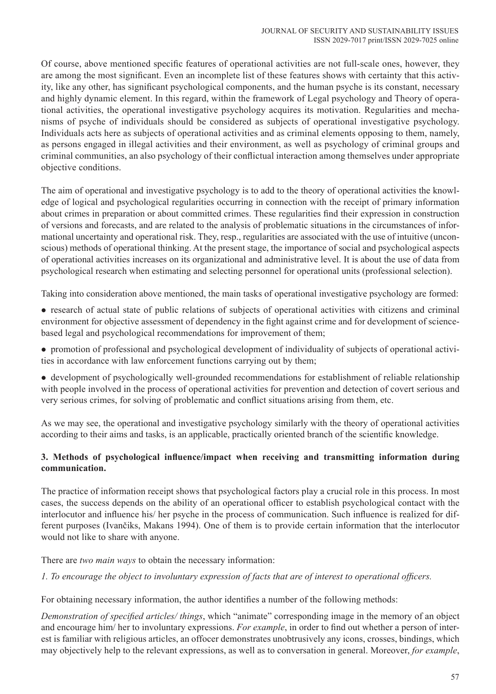Of course, above mentioned specific features of operational activities are not full-scale ones, however, they are among the most significant. Even an incomplete list of these features shows with certainty that this activity, like any other, has significant psychological components, and the human psyche is its constant, necessary and highly dynamic element. In this regard, within the framework of Legal psychology and Theory of operational activities, the operational investigative psychology acquires its motivation. Regularities and mechanisms of psyche of individuals should be considered as subjects of operational investigative psychology. Individuals acts here as subjects of operational activities and as criminal elements opposing to them, namely, as persons engaged in illegal activities and their environment, as well as psychology of criminal groups and criminal communities, an also psychology of their conflictual interaction among themselves under appropriate objective conditions.

The aim of operational and investigative psychology is to add to the theory of operational activities the knowledge of logical and psychological regularities occurring in connection with the receipt of primary information about crimes in preparation or about committed crimes. These regularities find their expression in construction of versions and forecasts, and are related to the analysis of problematic situations in the circumstances of informational uncertainty and operational risk. They, resp., regularities are associated with the use of intuitive (unconscious) methods of operational thinking. At the present stage, the importance of social and psychological aspects of operational activities increases on its organizational and administrative level. It is about the use of data from psychological research when estimating and selecting personnel for operational units (professional selection).

Taking into consideration above mentioned, the main tasks of operational investigative psychology are formed:

- research of actual state of public relations of subjects of operational activities with citizens and criminal environment for objective assessment of dependency in the fight against crime and for development of sciencebased legal and psychological recommendations for improvement of them;
- promotion of professional and psychological development of individuality of subjects of operational activities in accordance with law enforcement functions carrying out by them;
- development of psychologically well-grounded recommendations for establishment of reliable relationship with people involved in the process of operational activities for prevention and detection of covert serious and very serious crimes, for solving of problematic and conflict situations arising from them, etc.

As we may see, the operational and investigative psychology similarly with the theory of operational activities according to their aims and tasks, is an applicable, practically oriented branch of the scientific knowledge.

## **3. Methods of psychological influence/impact when receiving and transmitting information during communication.**

The practice of information receipt shows that psychological factors play a crucial role in this process. In most cases, the success depends on the ability of an operational officer to establish psychological contact with the interlocutor and influence his/ her psyche in the process of communication. Such influence is realized for different purposes (Ivančiks, Makans 1994). One of them is to provide certain information that the interlocutor would not like to share with anyone.

There are *two main ways* to obtain the necessary information:

*1. To encourage the object to involuntary expression of facts that are of interest to operational officers.* 

For obtaining necessary information, the author identifies a number of the following methods:

*Demonstration of specified articles/ things*, which "animate" corresponding image in the memory of an object and encourage him/ her to involuntary expressions. *For example*, in order to find out whether a person of interest is familiar with religious articles, an offocer demonstrates unobtrusively any icons, crosses, bindings, which may objectively help to the relevant expressions, as well as to conversation in general. Moreover, *for example*,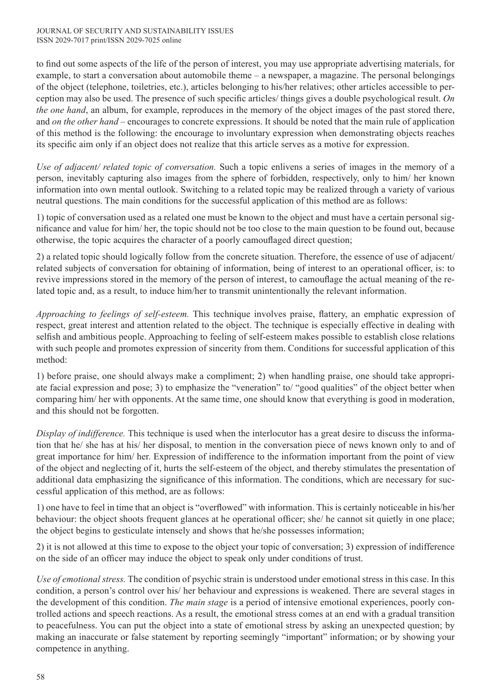to find out some aspects of the life of the person of interest, you may use appropriate advertising materials, for example, to start a conversation about automobile theme – a newspaper, a magazine. The personal belongings of the object (telephone, toiletries, etc.), articles belonging to his/her relatives; other articles accessible to perception may also be used. The presence of such specific articles/ things gives a double psychological result. *On the one hand*, an album, for example, reproduces in the memory of the object images of the past stored there, and *on the other hand* – encourages to concrete expressions. It should be noted that the main rule of application of this method is the following: the encourage to involuntary expression when demonstrating objects reaches its specific aim only if an object does not realize that this article serves as a motive for expression.

*Use of adjacent/ related topic of conversation.* Such a topic enlivens a series of images in the memory of a person, inevitably capturing also images from the sphere of forbidden, respectively, only to him/ her known information into own mental outlook. Switching to a related topic may be realized through a variety of various neutral questions. The main conditions for the successful application of this method are as follows:

1) topic of conversation used as a related one must be known to the object and must have a certain personal significance and value for him/ her, the topic should not be too close to the main question to be found out, because otherwise, the topic acquires the character of a poorly camouflaged direct question;

2) a related topic should logically follow from the concrete situation. Therefore, the essence of use of adjacent/ related subjects of conversation for obtaining of information, being of interest to an operational officer, is: to revive impressions stored in the memory of the person of interest, to camouflage the actual meaning of the related topic and, as a result, to induce him/her to transmit unintentionally the relevant information.

*Approaching to feelings of self-esteem.* This technique involves praise, flattery, an emphatic expression of respect, great interest and attention related to the object. The technique is especially effective in dealing with selfish and ambitious people. Approaching to feeling of self-esteem makes possible to establish close relations with such people and promotes expression of sincerity from them. Conditions for successful application of this method:

1) before praise, one should always make a compliment; 2) when handling praise, one should take appropriate facial expression and pose; 3) to emphasize the "veneration" to/ "good qualities" of the object better when comparing him/ her with opponents. At the same time, one should know that everything is good in moderation, and this should not be forgotten.

*Display of indifference.* This technique is used when the interlocutor has a great desire to discuss the information that he/ she has at his/ her disposal, to mention in the conversation piece of news known only to and of great importance for him/ her. Expression of indifference to the information important from the point of view of the object and neglecting of it, hurts the self-esteem of the object, and thereby stimulates the presentation of additional data emphasizing the significance of this information. The conditions, which are necessary for successful application of this method, are as follows:

1) one have to feel in time that an object is "overflowed" with information. This is certainly noticeable in his/her behaviour: the object shoots frequent glances at he operational officer; she/ he cannot sit quietly in one place; the object begins to gesticulate intensely and shows that he/she possesses information;

2) it is not allowed at this time to expose to the object your topic of conversation; 3) expression of indifference on the side of an officer may induce the object to speak only under conditions of trust.

*Use of emotional stress.* The condition of psychic strain is understood under emotional stress in this case. In this condition, a person's control over his/ her behaviour and expressions is weakened. There are several stages in the development of this condition. *The main stage* is a period of intensive emotional experiences, poorly controlled actions and speech reactions. As a result, the emotional stress comes at an end with a gradual transition to peacefulness. You can put the object into a state of emotional stress by asking an unexpected question; by making an inaccurate or false statement by reporting seemingly "important" information; or by showing your competence in anything.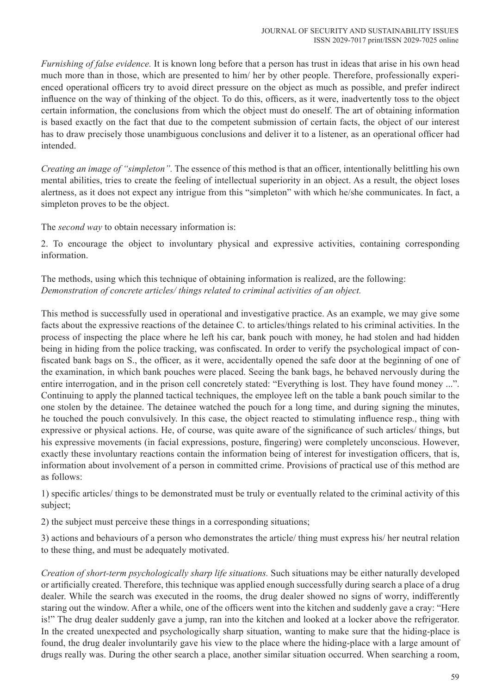*Furnishing of false evidence.* It is known long before that a person has trust in ideas that arise in his own head much more than in those, which are presented to him/ her by other people. Therefore, professionally experienced operational officers try to avoid direct pressure on the object as much as possible, and prefer indirect influence on the way of thinking of the object. To do this, officers, as it were, inadvertently toss to the object certain information, the conclusions from which the object must do oneself. The art of obtaining information is based exactly on the fact that due to the competent submission of certain facts, the object of our interest has to draw precisely those unambiguous conclusions and deliver it to a listener, as an operational officer had intended.

*Creating an image of "simpleton".* The essence of this method is that an officer, intentionally belittling his own mental abilities, tries to create the feeling of intellectual superiority in an object. As a result, the object loses alertness, as it does not expect any intrigue from this "simpleton" with which he/she communicates. In fact, a simpleton proves to be the object.

The *second way* to obtain necessary information is:

2. To encourage the object to involuntary physical and expressive activities, containing corresponding information.

The methods, using which this technique of obtaining information is realized, are the following: *Demonstration of concrete articles/ things related to criminal activities of an object.* 

This method is successfully used in operational and investigative practice. As an example, we may give some facts about the expressive reactions of the detainee C. to articles/things related to his criminal activities. In the process of inspecting the place where he left his car, bank pouch with money, he had stolen and had hidden being in hiding from the police tracking, was confiscated. In order to verify the psychological impact of confiscated bank bags on S., the officer, as it were, accidentally opened the safe door at the beginning of one of the examination, in which bank pouches were placed. Seeing the bank bags, he behaved nervously during the entire interrogation, and in the prison cell concretely stated: "Everything is lost. They have found money ...". Continuing to apply the planned tactical techniques, the employee left on the table a bank pouch similar to the one stolen by the detainee. The detainee watched the pouch for a long time, and during signing the minutes, he touched the pouch convulsively. In this case, the object reacted to stimulating influence resp., thing with expressive or physical actions. He, of course, was quite aware of the significance of such articles/ things, but his expressive movements (in facial expressions, posture, fingering) were completely unconscious. However, exactly these involuntary reactions contain the information being of interest for investigation officers, that is, information about involvement of a person in committed crime. Provisions of practical use of this method are as follows:

1) specific articles/ things to be demonstrated must be truly or eventually related to the criminal activity of this subject;

2) the subject must perceive these things in a corresponding situations;

3) actions and behaviours of a person who demonstrates the article/ thing must express his/ her neutral relation to these thing, and must be adequately motivated.

*Creation of short-term psychologically sharp life situations.* Such situations may be either naturally developed or artificially created. Therefore, this technique was applied enough successfully during search a place of a drug dealer. While the search was executed in the rooms, the drug dealer showed no signs of worry, indifferently staring out the window. After a while, one of the officers went into the kitchen and suddenly gave a cray: "Here is!" The drug dealer suddenly gave a jump, ran into the kitchen and looked at a locker above the refrigerator. In the created unexpected and psychologically sharp situation, wanting to make sure that the hiding-place is found, the drug dealer involuntarily gave his view to the place where the hiding-place with a large amount of drugs really was. During the other search a place, another similar situation occurred. When searching a room,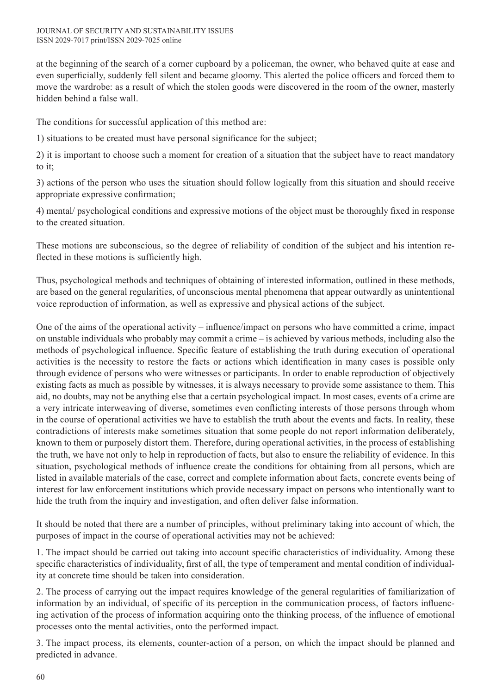at the beginning of the search of a corner cupboard by a policeman, the owner, who behaved quite at ease and even superficially, suddenly fell silent and became gloomy. This alerted the police officers and forced them to move the wardrobe: as a result of which the stolen goods were discovered in the room of the owner, masterly hidden behind a false wall.

The conditions for successful application of this method are:

1) situations to be created must have personal significance for the subject;

2) it is important to choose such a moment for creation of a situation that the subject have to react mandatory to it;

3) actions of the person who uses the situation should follow logically from this situation and should receive appropriate expressive confirmation;

4) mental/ psychological conditions and expressive motions of the object must be thoroughly fixed in response to the created situation.

These motions are subconscious, so the degree of reliability of condition of the subject and his intention reflected in these motions is sufficiently high.

Thus, psychological methods and techniques of obtaining of interested information, outlined in these methods, are based on the general regularities, of unconscious mental phenomena that appear outwardly as unintentional voice reproduction of information, as well as expressive and physical actions of the subject.

One of the aims of the operational activity – influence/impact on persons who have committed a crime, impact on unstable individuals who probably may commit a crime – is achieved by various methods, including also the methods of psychological influence. Specific feature of establishing the truth during execution of operational activities is the necessity to restore the facts or actions which identification in many cases is possible only through evidence of persons who were witnesses or participants. In order to enable reproduction of objectively existing facts as much as possible by witnesses, it is always necessary to provide some assistance to them. This aid, no doubts, may not be anything else that a certain psychological impact. In most cases, events of a crime are a very intricate interweaving of diverse, sometimes even conflicting interests of those persons through whom in the course of operational activities we have to establish the truth about the events and facts. In reality, these contradictions of interests make sometimes situation that some people do not report information deliberately, known to them or purposely distort them. Therefore, during operational activities, in the process of establishing the truth, we have not only to help in reproduction of facts, but also to ensure the reliability of evidence. In this situation, psychological methods of influence create the conditions for obtaining from all persons, which are listed in available materials of the case, correct and complete information about facts, concrete events being of interest for law enforcement institutions which provide necessary impact on persons who intentionally want to hide the truth from the inquiry and investigation, and often deliver false information.

It should be noted that there are a number of principles, without preliminary taking into account of which, the purposes of impact in the course of operational activities may not be achieved:

1. The impact should be carried out taking into account specific characteristics of individuality. Among these specific characteristics of individuality, first of all, the type of temperament and mental condition of individuality at concrete time should be taken into consideration.

2. The process of carrying out the impact requires knowledge of the general regularities of familiarization of information by an individual, of specific of its perception in the communication process, of factors influencing activation of the process of information acquiring onto the thinking process, of the influence of emotional processes onto the mental activities, onto the performed impact.

3. The impact process, its elements, counter-action of a person, on which the impact should be planned and predicted in advance.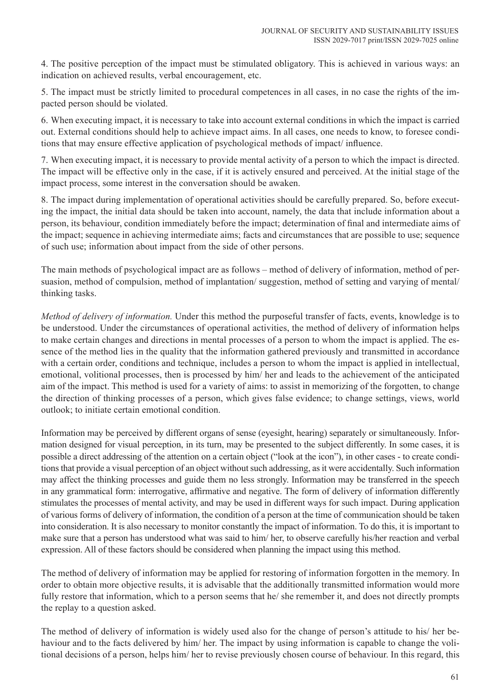4. The positive perception of the impact must be stimulated obligatory. This is achieved in various ways: an indication on achieved results, verbal encouragement, etc.

5. The impact must be strictly limited to procedural competences in all cases, in no case the rights of the impacted person should be violated.

6. When executing impact, it is necessary to take into account external conditions in which the impact is carried out. External conditions should help to achieve impact aims. In all cases, one needs to know, to foresee conditions that may ensure effective application of psychological methods of impact/ influence.

7. When executing impact, it is necessary to provide mental activity of a person to which the impact is directed. The impact will be effective only in the case, if it is actively ensured and perceived. At the initial stage of the impact process, some interest in the conversation should be awaken.

8. The impact during implementation of operational activities should be carefully prepared. So, before executing the impact, the initial data should be taken into account, namely, the data that include information about a person, its behaviour, condition immediately before the impact; determination of final and intermediate aims of the impact; sequence in achieving intermediate aims; facts and circumstances that are possible to use; sequence of such use; information about impact from the side of other persons.

The main methods of psychological impact are as follows – method of delivery of information, method of persuasion, method of compulsion, method of implantation/ suggestion, method of setting and varying of mental/ thinking tasks.

*Method of delivery of information.* Under this method the purposeful transfer of facts, events, knowledge is to be understood. Under the circumstances of operational activities, the method of delivery of information helps to make certain changes and directions in mental processes of a person to whom the impact is applied. The essence of the method lies in the quality that the information gathered previously and transmitted in accordance with a certain order, conditions and technique, includes a person to whom the impact is applied in intellectual, emotional, volitional processes, then is processed by him/ her and leads to the achievement of the anticipated aim of the impact. This method is used for a variety of aims: to assist in memorizing of the forgotten, to change the direction of thinking processes of a person, which gives false evidence; to change settings, views, world outlook; to initiate certain emotional condition.

Information may be perceived by different organs of sense (eyesight, hearing) separately or simultaneously. Information designed for visual perception, in its turn, may be presented to the subject differently. In some cases, it is possible a direct addressing of the attention on a certain object ("look at the icon"), in other cases - to create conditions that provide a visual perception of an object without such addressing, as it were accidentally. Such information may affect the thinking processes and guide them no less strongly. Information may be transferred in the speech in any grammatical form: interrogative, affirmative and negative. The form of delivery of information differently stimulates the processes of mental activity, and may be used in different ways for such impact. During application of various forms of delivery of information, the condition of a person at the time of communication should be taken into consideration. It is also necessary to monitor constantly the impact of information. To do this, it is important to make sure that a person has understood what was said to him/ her, to observe carefully his/her reaction and verbal expression. All of these factors should be considered when planning the impact using this method.

The method of delivery of information may be applied for restoring of information forgotten in the memory. In order to obtain more objective results, it is advisable that the additionally transmitted information would more fully restore that information, which to a person seems that he/ she remember it, and does not directly prompts the replay to a question asked.

The method of delivery of information is widely used also for the change of person's attitude to his/ her behaviour and to the facts delivered by him/ her. The impact by using information is capable to change the volitional decisions of a person, helps him/ her to revise previously chosen course of behaviour. In this regard, this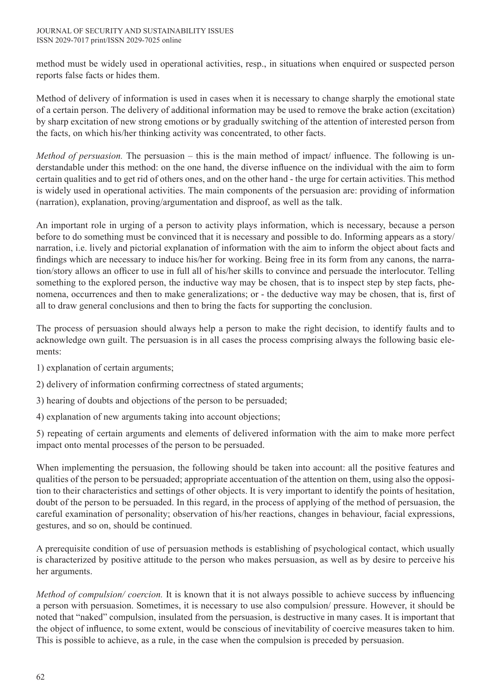method must be widely used in operational activities, resp., in situations when enquired or suspected person reports false facts or hides them.

Method of delivery of information is used in cases when it is necessary to change sharply the emotional state of a certain person. The delivery of additional information may be used to remove the brake action (excitation) by sharp excitation of new strong emotions or by gradually switching of the attention of interested person from the facts, on which his/her thinking activity was concentrated, to other facts.

*Method of persuasion.* The persuasion – this is the main method of impact/ influence. The following is understandable under this method: on the one hand, the diverse influence on the individual with the aim to form certain qualities and to get rid of others ones, and on the other hand - the urge for certain activities. This method is widely used in operational activities. The main components of the persuasion are: providing of information (narration), explanation, proving/argumentation and disproof, as well as the talk.

An important role in urging of a person to activity plays information, which is necessary, because a person before to do something must be convinced that it is necessary and possible to do. Informing appears as a story/ narration, i.e. lively and pictorial explanation of information with the aim to inform the object about facts and findings which are necessary to induce his/her for working. Being free in its form from any canons, the narration/story allows an officer to use in full all of his/her skills to convince and persuade the interlocutor. Telling something to the explored person, the inductive way may be chosen, that is to inspect step by step facts, phenomena, occurrences and then to make generalizations; or - the deductive way may be chosen, that is, first of all to draw general conclusions and then to bring the facts for supporting the conclusion.

The process of persuasion should always help a person to make the right decision, to identify faults and to acknowledge own guilt. The persuasion is in all cases the process comprising always the following basic elements:

- 1) explanation of certain arguments;
- 2) delivery of information confirming correctness of stated arguments;
- 3) hearing of doubts and objections of the person to be persuaded;
- 4) explanation of new arguments taking into account objections;

5) repeating of certain arguments and elements of delivered information with the aim to make more perfect impact onto mental processes of the person to be persuaded.

When implementing the persuasion, the following should be taken into account: all the positive features and qualities of the person to be persuaded; appropriate accentuation of the attention on them, using also the opposition to their characteristics and settings of other objects. It is very important to identify the points of hesitation, doubt of the person to be persuaded. In this regard, in the process of applying of the method of persuasion, the careful examination of personality; observation of his/her reactions, changes in behaviour, facial expressions, gestures, and so on, should be continued.

A prerequisite condition of use of persuasion methods is establishing of psychological contact, which usually is characterized by positive attitude to the person who makes persuasion, as well as by desire to perceive his her arguments.

*Method of compulsion/ coercion.* It is known that it is not always possible to achieve success by influencing a person with persuasion. Sometimes, it is necessary to use also compulsion/ pressure. However, it should be noted that "naked" compulsion, insulated from the persuasion, is destructive in many cases. It is important that the object of influence, to some extent, would be conscious of inevitability of coercive measures taken to him. This is possible to achieve, as a rule, in the case when the compulsion is preceded by persuasion.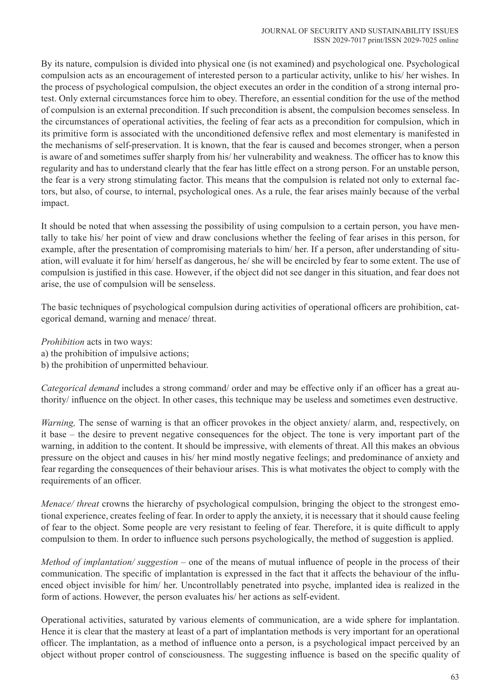By its nature, compulsion is divided into physical one (is not examined) and psychological one. Psychological compulsion acts as an encouragement of interested person to a particular activity, unlike to his/ her wishes. In the process of psychological compulsion, the object executes an order in the condition of a strong internal protest. Only external circumstances force him to obey. Therefore, an essential condition for the use of the method of compulsion is an external precondition. If such precondition is absent, the compulsion becomes senseless. In the circumstances of operational activities, the feeling of fear acts as a precondition for compulsion, which in its primitive form is associated with the unconditioned defensive reflex and most elementary is manifested in the mechanisms of self-preservation. It is known, that the fear is caused and becomes stronger, when a person is aware of and sometimes suffer sharply from his/ her vulnerability and weakness. The officer has to know this regularity and has to understand clearly that the fear has little effect on a strong person. For an unstable person, the fear is a very strong stimulating factor. This means that the compulsion is related not only to external factors, but also, of course, to internal, psychological ones. As a rule, the fear arises mainly because of the verbal impact.

It should be noted that when assessing the possibility of using compulsion to a certain person, you have mentally to take his/ her point of view and draw conclusions whether the feeling of fear arises in this person, for example, after the presentation of compromising materials to him/ her. If a person, after understanding of situation, will evaluate it for him/ herself as dangerous, he/ she will be encircled by fear to some extent. The use of compulsion is justified in this case. However, if the object did not see danger in this situation, and fear does not arise, the use of compulsion will be senseless.

The basic techniques of psychological compulsion during activities of operational officers are prohibition, categorical demand, warning and menace/ threat.

*Prohibition* acts in two ways:

- a) the prohibition of impulsive actions;
- b) the prohibition of unpermitted behaviour.

*Categorical demand* includes a strong command/ order and may be effective only if an officer has a great authority/ influence on the object. In other cases, this technique may be useless and sometimes even destructive.

*Warning*, The sense of warning is that an officer provokes in the object anxiety/ alarm, and, respectively, on it base – the desire to prevent negative consequences for the object. The tone is very important part of the warning, in addition to the content. It should be impressive, with elements of threat. All this makes an obvious pressure on the object and causes in his/ her mind mostly negative feelings; and predominance of anxiety and fear regarding the consequences of their behaviour arises. This is what motivates the object to comply with the requirements of an officer.

*Menace/ threat* crowns the hierarchy of psychological compulsion, bringing the object to the strongest emotional experience, creates feeling of fear. In order to apply the anxiety, it is necessary that it should cause feeling of fear to the object. Some people are very resistant to feeling of fear. Therefore, it is quite difficult to apply compulsion to them. In order to influence such persons psychologically, the method of suggestion is applied.

*Method of implantation/ suggestion* – one of the means of mutual influence of people in the process of their communication. The specific of implantation is expressed in the fact that it affects the behaviour of the influenced object invisible for him/ her. Uncontrollably penetrated into psyche, implanted idea is realized in the form of actions. However, the person evaluates his/ her actions as self-evident.

Operational activities, saturated by various elements of communication, are a wide sphere for implantation. Hence it is clear that the mastery at least of a part of implantation methods is very important for an operational officer. The implantation, as a method of influence onto a person, is a psychological impact perceived by an object without proper control of consciousness. The suggesting influence is based on the specific quality of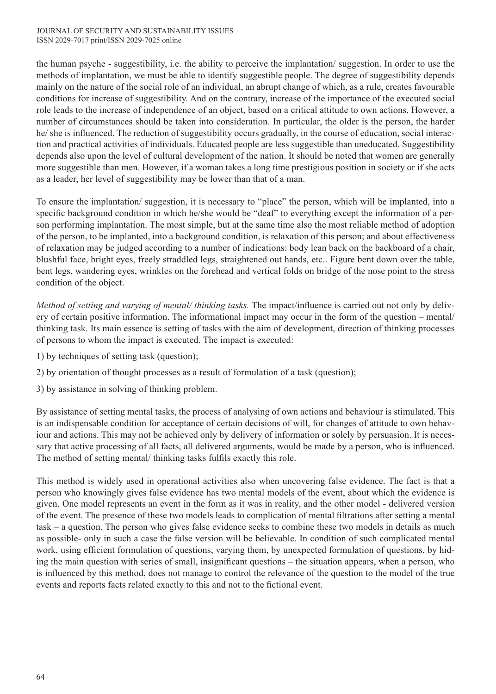the human psyche - suggestibility, i.e. the ability to perceive the implantation/ suggestion. In order to use the methods of implantation, we must be able to identify suggestible people. The degree of suggestibility depends mainly on the nature of the social role of an individual, an abrupt change of which, as a rule, creates favourable conditions for increase of suggestibility. And on the contrary, increase of the importance of the executed social role leads to the increase of independence of an object, based on a critical attitude to own actions. However, a number of circumstances should be taken into consideration. In particular, the older is the person, the harder he/ she is influenced. The reduction of suggestibility occurs gradually, in the course of education, social interaction and practical activities of individuals. Educated people are less suggestible than uneducated. Suggestibility depends also upon the level of cultural development of the nation. It should be noted that women are generally more suggestible than men. However, if a woman takes a long time prestigious position in society or if she acts as a leader, her level of suggestibility may be lower than that of a man.

To ensure the implantation/ suggestion, it is necessary to "place" the person, which will be implanted, into a specific background condition in which he/she would be "deaf" to everything except the information of a person performing implantation. The most simple, but at the same time also the most reliable method of adoption of the person, to be implanted, into a background condition, is relaxation of this person; and about effectiveness of relaxation may be judged according to a number of indications: body lean back on the backboard of a chair, blushful face, bright eyes, freely straddled legs, straightened out hands, etc.. Figure bent down over the table, bent legs, wandering eyes, wrinkles on the forehead and vertical folds on bridge of the nose point to the stress condition of the object.

*Method of setting and varying of mental/ thinking tasks.* The impact/influence is carried out not only by delivery of certain positive information. The informational impact may occur in the form of the question – mental/ thinking task. Its main essence is setting of tasks with the aim of development, direction of thinking processes of persons to whom the impact is executed. The impact is executed:

- 1) by techniques of setting task (question);
- 2) by orientation of thought processes as a result of formulation of a task (question);
- 3) by assistance in solving of thinking problem.

By assistance of setting mental tasks, the process of analysing of own actions and behaviour is stimulated. This is an indispensable condition for acceptance of certain decisions of will, for changes of attitude to own behaviour and actions. This may not be achieved only by delivery of information or solely by persuasion. It is necessary that active processing of all facts, all delivered arguments, would be made by a person, who is influenced. The method of setting mental/ thinking tasks fulfils exactly this role.

This method is widely used in operational activities also when uncovering false evidence. The fact is that a person who knowingly gives false evidence has two mental models of the event, about which the evidence is given. One model represents an event in the form as it was in reality, and the other model - delivered version of the event. The presence of these two models leads to complication of mental filtrations after setting a mental task – a question. The person who gives false evidence seeks to combine these two models in details as much as possible- only in such a case the false version will be believable. In condition of such complicated mental work, using efficient formulation of questions, varying them, by unexpected formulation of questions, by hiding the main question with series of small, insignificant questions – the situation appears, when a person, who is influenced by this method, does not manage to control the relevance of the question to the model of the true events and reports facts related exactly to this and not to the fictional event.